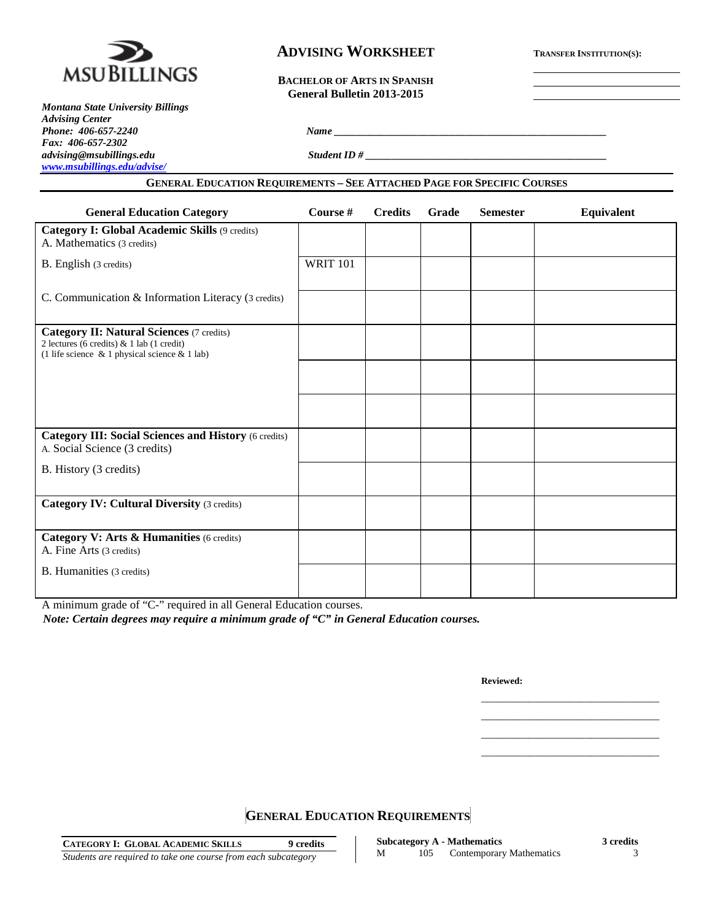

# **ADVISING WORKSHEET TRANSFER INSTITUTION(S):**

**BACHELOR OF ARTS IN SPANISH General Bulletin 2013-2015**

*Montana State University Billings Advising Center Phone: 406-657-2240 Name \_\_\_\_\_\_\_\_\_\_\_\_\_\_\_\_\_\_\_\_\_\_\_\_\_\_\_\_\_\_\_\_\_\_\_\_\_\_\_\_\_\_\_\_\_\_\_\_\_\_\_\_ Fax: 406-657-2302 advising@msubillings.edu Student ID # \_\_\_\_\_\_\_\_\_\_\_\_\_\_\_\_\_\_\_\_\_\_\_\_\_\_\_\_\_\_\_\_\_\_\_\_\_\_\_\_\_\_\_\_\_\_ [www.msubillings.edu/advise/](http://www.msubillings.edu/advise/)*

#### **GENERAL EDUCATION REQUIREMENTS – SEE ATTACHED PAGE FOR SPECIFIC COURSES**

| <b>General Education Category</b>                                                                                                                      | Course #        | <b>Credits</b> | Grade | <b>Semester</b> | Equivalent |
|--------------------------------------------------------------------------------------------------------------------------------------------------------|-----------------|----------------|-------|-----------------|------------|
| Category I: Global Academic Skills (9 credits)<br>A. Mathematics (3 credits)                                                                           |                 |                |       |                 |            |
| B. English (3 credits)                                                                                                                                 | <b>WRIT 101</b> |                |       |                 |            |
| C. Communication & Information Literacy (3 credits)                                                                                                    |                 |                |       |                 |            |
| <b>Category II: Natural Sciences (7 credits)</b><br>2 lectures (6 credits) $& 1$ lab (1 credit)<br>(1 life science $\&$ 1 physical science $\&$ 1 lab) |                 |                |       |                 |            |
|                                                                                                                                                        |                 |                |       |                 |            |
|                                                                                                                                                        |                 |                |       |                 |            |
| <b>Category III: Social Sciences and History (6 credits)</b><br>A. Social Science (3 credits)                                                          |                 |                |       |                 |            |
| B. History (3 credits)                                                                                                                                 |                 |                |       |                 |            |
| <b>Category IV: Cultural Diversity (3 credits)</b>                                                                                                     |                 |                |       |                 |            |
| Category V: Arts & Humanities (6 credits)<br>A. Fine Arts (3 credits)                                                                                  |                 |                |       |                 |            |
| B. Humanities (3 credits)                                                                                                                              |                 |                |       |                 |            |

A minimum grade of "C-" required in all General Education courses.

*Note: Certain degrees may require a minimum grade of "C" in General Education courses.*

**Reviewed:**

\_\_\_\_\_\_\_\_\_\_\_\_\_\_\_\_\_\_\_\_\_\_\_\_\_\_\_\_\_\_\_\_\_\_ \_\_\_\_\_\_\_\_\_\_\_\_\_\_\_\_\_\_\_\_\_\_\_\_\_\_\_\_\_\_\_\_\_\_ \_\_\_\_\_\_\_\_\_\_\_\_\_\_\_\_\_\_\_\_\_\_\_\_\_\_\_\_\_\_\_\_\_\_ \_\_\_\_\_\_\_\_\_\_\_\_\_\_\_\_\_\_\_\_\_\_\_\_\_\_\_\_\_\_\_\_\_\_

**GENERAL EDUCATION REQUIREMENTS**

| <b>CATEGORY I: GLOBAL ACADEMIC SKILLS</b>                      | 9 credits |
|----------------------------------------------------------------|-----------|
| Students are required to take one course from each subcategory |           |

**Subcategory A - Mathematics** 3 credits<br>
M 105 Contemporary Mathematics 3 105 Contemporary Mathematics 3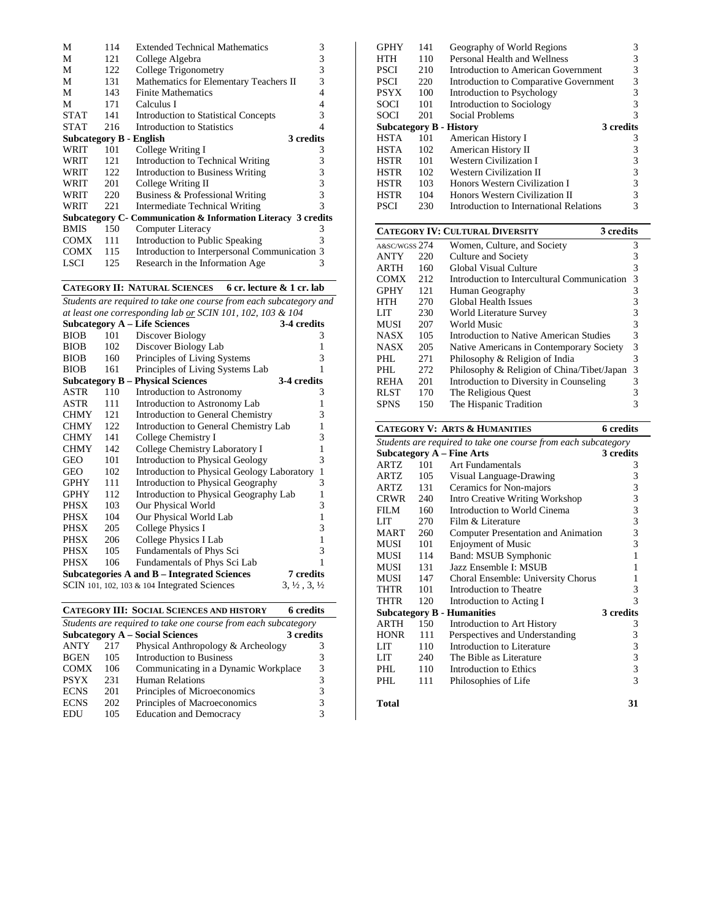| М                       | 114 | <b>Extended Technical Mathematics</b>                         | 3 |
|-------------------------|-----|---------------------------------------------------------------|---|
| М                       | 121 | College Algebra                                               | 3 |
| М                       | 122 | College Trigonometry                                          | 3 |
| М                       | 131 | Mathematics for Elementary Teachers II                        | 3 |
| М                       | 143 | <b>Finite Mathematics</b>                                     | 4 |
| М                       | 171 | Calculus I                                                    | 4 |
| <b>STAT</b>             | 141 | Introduction to Statistical Concepts                          | 3 |
| <b>STAT</b>             | 216 | Introduction to Statistics                                    |   |
| Subcategory B - English |     | 3 credits                                                     |   |
| WRIT                    | 101 | College Writing I                                             | 3 |
| WRIT                    | 121 | Introduction to Technical Writing                             | 3 |
| WRIT                    | 122 | <b>Introduction to Business Writing</b>                       | 3 |
| WRIT                    | 201 | College Writing II                                            | 3 |
| WRIT                    | 220 | Business & Professional Writing                               | 3 |
| WRIT                    | 221 | Intermediate Technical Writing                                | 3 |
|                         |     | Subcategory C- Communication & Information Literacy 3 credits |   |
| <b>BMIS</b>             | 150 | Computer Literacy                                             | 3 |
| <b>COMX</b>             | 111 | Introduction to Public Speaking                               | 3 |
| <b>COMX</b>             | 115 | Introduction to Interpersonal Communication 3                 |   |
| LSCI                    | 125 | Research in the Information Age                               | 3 |
|                         |     |                                                               |   |

### **CATEGORY II: NATURAL SCIENCES 6 cr. lecture & 1 cr. lab**

*Students are required to take one course from each subcategory and at least one corresponding lab or SCIN 101, 102, 103 & 104*

|             |     | <b>Subcategory A – Life Sciences</b>           | 3-4 credits                      |
|-------------|-----|------------------------------------------------|----------------------------------|
| <b>BIOB</b> | 101 | Discover Biology                               | 3                                |
| <b>BIOB</b> | 102 | Discover Biology Lab                           | 1                                |
| <b>BIOB</b> | 160 | Principles of Living Systems                   | 3                                |
| <b>BIOB</b> | 161 | Principles of Living Systems Lab               | 1                                |
|             |     | <b>Subcategory B – Physical Sciences</b>       | 3-4 credits                      |
| ASTR        | 110 | Introduction to Astronomy                      | 3                                |
| ASTR        | 111 | Introduction to Astronomy Lab                  | 1                                |
| <b>CHMY</b> | 121 | Introduction to General Chemistry              | 3                                |
| <b>CHMY</b> | 122 | Introduction to General Chemistry Lab          | 1                                |
| <b>CHMY</b> | 141 | College Chemistry I                            | 3                                |
| <b>CHMY</b> | 142 | College Chemistry Laboratory I                 | $\mathbf{1}$                     |
| GEO         | 101 | <b>Introduction to Physical Geology</b>        | 3                                |
| GEO         | 102 | Introduction to Physical Geology Laboratory    | $\mathbf{1}$                     |
| <b>GPHY</b> | 111 | Introduction to Physical Geography             | 3                                |
| <b>GPHY</b> | 112 | Introduction to Physical Geography Lab         | $\mathbf{1}$                     |
| <b>PHSX</b> | 103 | Our Physical World                             | 3                                |
| PHSX        | 104 | Our Physical World Lab                         | $\mathbf{1}$                     |
| PHSX        | 205 | College Physics I                              | 3                                |
| PHSX        | 206 | College Physics I Lab                          | $\mathbf{1}$                     |
| PHSX        | 105 | Fundamentals of Phys Sci                       | 3                                |
| <b>PHSX</b> | 106 | Fundamentals of Phys Sci Lab                   | 1                                |
|             |     | Subcategories A and B – Integrated Sciences    | 7 credits                        |
|             |     | SCIN 101, 102, 103 $&$ 104 Integrated Sciences | $3, \frac{1}{2}, 3, \frac{1}{2}$ |

**CATEGORY III: SOCIAL SCIENCES AND HISTORY 6 credits**

| Students are required to take one course from each subcategory |     |                                        |           |  |  |  |
|----------------------------------------------------------------|-----|----------------------------------------|-----------|--|--|--|
|                                                                |     | <b>Subcategory A – Social Sciences</b> | 3 credits |  |  |  |
| <b>ANTY</b>                                                    | 217 | Physical Anthropology & Archeology     |           |  |  |  |
| <b>BGEN</b>                                                    | 105 | Introduction to Business               |           |  |  |  |
| <b>COMX</b>                                                    | 106 | Communicating in a Dynamic Workplace   | 3         |  |  |  |
| <b>PSYX</b>                                                    | 231 | <b>Human Relations</b>                 |           |  |  |  |
| <b>ECNS</b>                                                    | 201 | Principles of Microeconomics           |           |  |  |  |
| <b>ECNS</b>                                                    | 202 | Principles of Macroeconomics           |           |  |  |  |
| EDU                                                            | 105 | <b>Education and Democracy</b>         |           |  |  |  |

| <b>GPHY</b>             | 141 | Geography of World Regions             | 3 |
|-------------------------|-----|----------------------------------------|---|
| HTH                     | 110 | Personal Health and Wellness           | 3 |
| <b>PSCI</b>             | 210 | Introduction to American Government    | 3 |
| PSCI                    | 220 | Introduction to Comparative Government | 3 |
| <b>PSYX</b>             | 100 | Introduction to Psychology             | 3 |
| SOCI                    | 101 | Introduction to Sociology              |   |
| <b>SOCI</b>             | 201 | Social Problems                        | 3 |
|                         |     | 3 credits                              |   |
| Subcategory B - History |     |                                        |   |
| <b>HSTA</b>             | 101 | American History I                     | 3 |
| <b>HSTA</b>             | 102 | American History II                    | 3 |
| <b>HSTR</b>             | 101 | <b>Western Civilization I</b>          | 3 |
| <b>HSTR</b>             | 102 | <b>Western Civilization II</b>         | 3 |
| <b>HSTR</b>             | 103 | Honors Western Civilization I          | 3 |
| <b>HSTR</b>             | 104 | Honors Western Civilization II         | 3 |

|               | <b>CATEGORY IV: CULTURAL DIVERSITY</b> |                                             |   |  |  |  |
|---------------|----------------------------------------|---------------------------------------------|---|--|--|--|
| A&SC/WGSS 274 |                                        | Women, Culture, and Society                 | 3 |  |  |  |
| <b>ANTY</b>   | 220                                    | Culture and Society                         | 3 |  |  |  |
| <b>ARTH</b>   | 160                                    | Global Visual Culture                       | 3 |  |  |  |
| <b>COMX</b>   | 212                                    | Introduction to Intercultural Communication | 3 |  |  |  |
| <b>GPHY</b>   | 121                                    | Human Geography                             | 3 |  |  |  |
| <b>HTH</b>    | 270                                    | Global Health Issues                        | 3 |  |  |  |
| LIT           | 230                                    | World Literature Survey                     | 3 |  |  |  |
| <b>MUSI</b>   | 207                                    | World Music                                 | 3 |  |  |  |
| <b>NASX</b>   | 105                                    | Introduction to Native American Studies     | 3 |  |  |  |
| <b>NASX</b>   | 205                                    | Native Americans in Contemporary Society    | 3 |  |  |  |
| PHI.          | 271                                    | Philosophy & Religion of India              | 3 |  |  |  |
| PHL.          | 272                                    | Philosophy & Religion of China/Tibet/Japan  | 3 |  |  |  |
| <b>REHA</b>   | 201                                    | Introduction to Diversity in Counseling     | 3 |  |  |  |
| <b>RLST</b>   | 170                                    | The Religious Ouest                         | 3 |  |  |  |
| <b>SPNS</b>   | 150                                    | The Hispanic Tradition                      | 3 |  |  |  |

# **CATEGORY V: ARTS & HUMANITIES 6 credits**

|              |     | Students are required to take one course from each subcategory |           |
|--------------|-----|----------------------------------------------------------------|-----------|
|              |     |                                                                |           |
|              |     | <b>Subcategory A - Fine Arts</b>                               | 3 credits |
| ARTZ         | 101 | Art Fundamentals                                               | 3         |
| ARTZ         | 105 | Visual Language-Drawing                                        | 3         |
| ARTZ         | 131 | Ceramics for Non-majors                                        | 3         |
| <b>CRWR</b>  | 240 | <b>Intro Creative Writing Workshop</b>                         | 3         |
| FILM         | 160 | Introduction to World Cinema                                   | 3         |
| LIT          | 270 | Film & Literature                                              | 3         |
| <b>MART</b>  | 260 | <b>Computer Presentation and Animation</b>                     | 3         |
| MUSI         | 101 | <b>Enjoyment of Music</b>                                      | 3         |
| MUSI         | 114 | Band: MSUB Symphonic                                           | 1         |
| MUSI         | 131 | Jazz Ensemble I: MSUB                                          | 1         |
| MUSI         | 147 | Choral Ensemble: University Chorus                             | 1         |
| THTR         | 101 | Introduction to Theatre                                        | 3         |
| THTR         | 120 | Introduction to Acting I                                       | 3         |
|              |     | <b>Subcategory B - Humanities</b>                              | 3 credits |
| ARTH         | 150 | Introduction to Art History                                    | 3         |
| <b>HONR</b>  | 111 | Perspectives and Understanding                                 | 3         |
| <b>LIT</b>   | 110 | Introduction to Literature                                     | 3         |
| LIT          | 240 | The Bible as Literature                                        | 3         |
| PHL.         | 110 | Introduction to Ethics                                         | 3         |
| PHL          | 111 | Philosophies of Life                                           | 3         |
| <b>Total</b> |     |                                                                | 31        |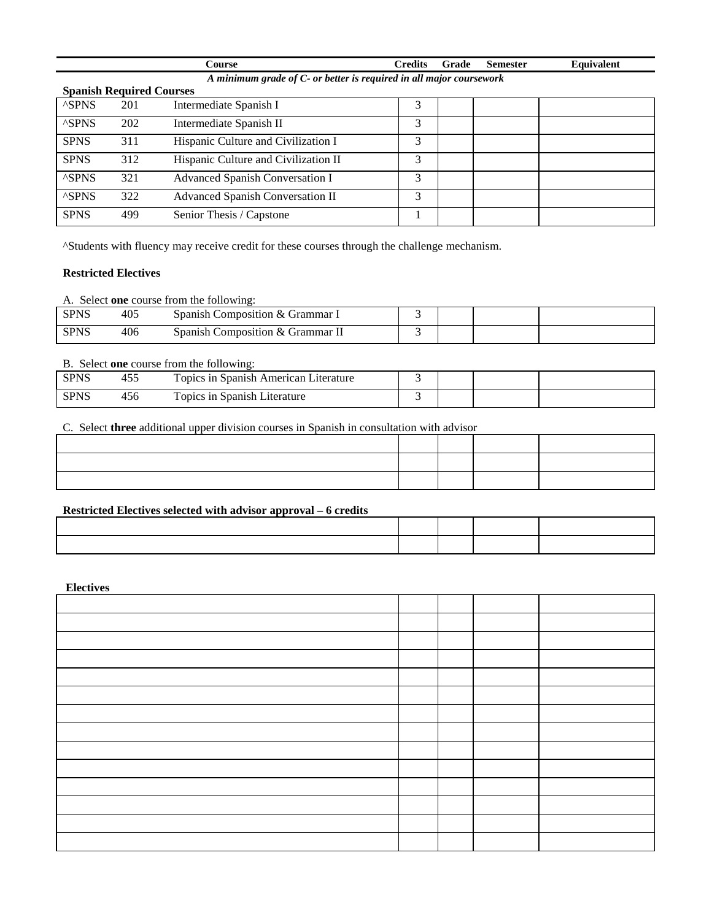| `ourse                                                              | ∠redits | Grade | semester | auivalent |  |  |
|---------------------------------------------------------------------|---------|-------|----------|-----------|--|--|
| A minimum grade of C- or better is required in all major coursework |         |       |          |           |  |  |

| <b>Spanish Required Courses</b> |     |                                      |   |  |  |
|---------------------------------|-----|--------------------------------------|---|--|--|
| <b>^SPNS</b>                    | 201 | Intermediate Spanish I               |   |  |  |
| <b>^SPNS</b>                    | 202 | Intermediate Spanish II              |   |  |  |
| <b>SPNS</b>                     | 311 | Hispanic Culture and Civilization I  | 3 |  |  |
| <b>SPNS</b>                     | 312 | Hispanic Culture and Civilization II | 3 |  |  |
| <b>^SPNS</b>                    | 321 | Advanced Spanish Conversation I      | 3 |  |  |
| <b>^SPNS</b>                    | 322 | Advanced Spanish Conversation II     | 3 |  |  |
| <b>SPNS</b>                     | 499 | Senior Thesis / Capstone             |   |  |  |

^Students with fluency may receive credit for these courses through the challenge mechanism.

#### **Restricted Electives**

A. Select **one** course from the following:

| <b>SPNS</b> | 405 | Spanish Composition & Grammar I  |  |  |
|-------------|-----|----------------------------------|--|--|
| <b>SPNS</b> | 406 | Spanish Composition & Grammar II |  |  |

### B. Select **one** course from the following:

| <b>SPNS</b> | $\epsilon$<br>452 | Topics in Spanish American Literature |  |  |
|-------------|-------------------|---------------------------------------|--|--|
| <b>SPNS</b> | 406               | Topics in Spanish Literature          |  |  |

### C. Select **three** additional upper division courses in Spanish in consultation with advisor

### **Restricted Electives selected with advisor approval – 6 credits**

## **Electives**